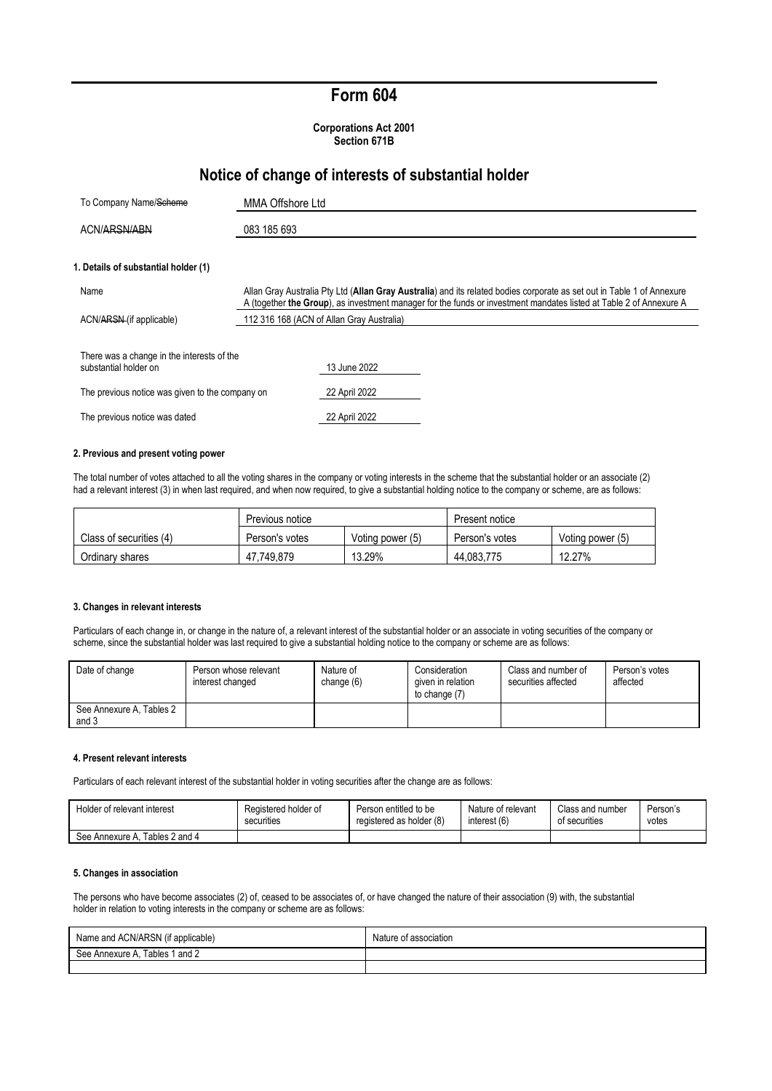# **Form 604**

**Corporations Act 2001 Section 671B**

## **Notice of change of interests of substantial holder**

| To Company Name/Scheme                                              | MMA Offshore Ltd                                                                                                                                                                                                                             |  |
|---------------------------------------------------------------------|----------------------------------------------------------------------------------------------------------------------------------------------------------------------------------------------------------------------------------------------|--|
| ACN/ARSN/ABN<br>083 185 693                                         |                                                                                                                                                                                                                                              |  |
| 1. Details of substantial holder (1)                                |                                                                                                                                                                                                                                              |  |
| Name                                                                | Allan Gray Australia Pty Ltd (Allan Gray Australia) and its related bodies corporate as set out in Table 1 of Annexure<br>A (together the Group), as investment manager for the funds or investment mandates listed at Table 2 of Annexure A |  |
| ACN/ARSN (if applicable)                                            | 112 316 168 (ACN of Allan Gray Australia)                                                                                                                                                                                                    |  |
| There was a change in the interests of the<br>substantial holder on | 13 June 2022                                                                                                                                                                                                                                 |  |
| The previous notice was given to the company on                     | 22 April 2022                                                                                                                                                                                                                                |  |
| The previous notice was dated                                       | 22 April 2022                                                                                                                                                                                                                                |  |

#### **2. Previous and present voting power**

The total number of votes attached to all the voting shares in the company or voting interests in the scheme that the substantial holder or an associate (2) had a relevant interest (3) in when last required, and when now required, to give a substantial holding notice to the company or scheme, are as follows:

|                         | Previous notice                    |        | Present notice |                  |
|-------------------------|------------------------------------|--------|----------------|------------------|
| Class of securities (4) | Voting power (5)<br>Person's votes |        | Person's votes | Voting power (5) |
| Ordinary shares         | 47.749.879                         | 13.29% | 44.083.775     | 12.27%           |

#### **3. Changes in relevant interests**

Particulars of each change in, or change in the nature of, a relevant interest of the substantial holder or an associate in voting securities of the company or scheme, since the substantial holder was last required to give a substantial holding notice to the company or scheme are as follows:

| Date of change                    | Person whose relevant<br>interest changed | Nature of<br>change $(6)$ | Consideration<br>given in relation<br>to change (7) | Class and number of<br>securities affected | Person's votes<br>affected |
|-----------------------------------|-------------------------------------------|---------------------------|-----------------------------------------------------|--------------------------------------------|----------------------------|
| See Annexure A, Tables 2<br>and 3 |                                           |                           |                                                     |                                            |                            |

### **4. Present relevant interests**

Particulars of each relevant interest of the substantial holder in voting securities after the change are as follows:

| Holder of relevant interest       | Registered holder of | Person entitled to be    | Nature of relevant | Class and number | Person's |
|-----------------------------------|----------------------|--------------------------|--------------------|------------------|----------|
|                                   | securities           | registered as holder (8) | interest (6)       | of securities    | votes    |
| Tables 2 and 4<br>See Annexure A. |                      |                          |                    |                  |          |

### **5. Changes in association**

The persons who have become associates (2) of, ceased to be associates of, or have changed the nature of their association (9) with, the substantial holder in relation to voting interests in the company or scheme are as follows:

| Name and ACN/ARSN (if applicable) | Nature of association |
|-----------------------------------|-----------------------|
| Tables 1 and 2<br>See Annexure A, |                       |
|                                   |                       |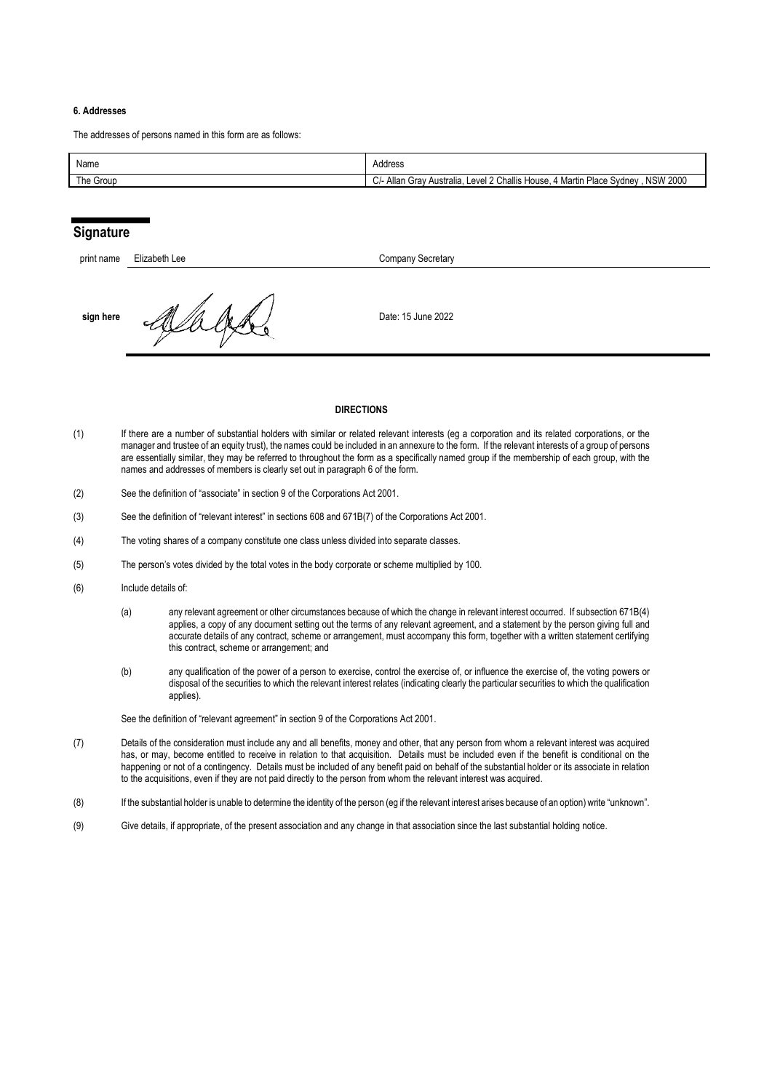### **6. Addresses**

The addresses of persons named in this form are as follows:

| Name      | Address                                                                                                                         |
|-----------|---------------------------------------------------------------------------------------------------------------------------------|
| The Group | <b>NSW 2000</b><br>Level 2 Challis H<br><sup>1</sup> Martin Place :<br>انـ⁄ـ Allan<br>House<br>, Svdnev<br>Australia.<br>, Grav |

### **Signature**

| print name | Elizabeth Lee | Company Secretary  |
|------------|---------------|--------------------|
| sign here  |               | Date: 15 June 2022 |

#### **DIRECTIONS**

- (1) If there are a number of substantial holders with similar or related relevant interests (eg a corporation and its related corporations, or the manager and trustee of an equity trust), the names could be included in an annexure to the form. If the relevant interests of a group of persons are essentially similar, they may be referred to throughout the form as a specifically named group if the membership of each group, with the names and addresses of members is clearly set out in paragraph 6 of the form.
- (2) See the definition of "associate" in section 9 of the Corporations Act 2001.
- (3) See the definition of "relevant interest" in sections 608 and 671B(7) of the Corporations Act 2001.
- (4) The voting shares of a company constitute one class unless divided into separate classes.
- (5) The person's votes divided by the total votes in the body corporate or scheme multiplied by 100.
- (6) Include details of:
	- (a) any relevant agreement or other circumstances because of which the change in relevant interest occurred. If subsection 671B(4) applies, a copy of any document setting out the terms of any relevant agreement, and a statement by the person giving full and accurate details of any contract, scheme or arrangement, must accompany this form, together with a written statement certifying this contract, scheme or arrangement; and
	- (b) any qualification of the power of a person to exercise, control the exercise of, or influence the exercise of, the voting powers or disposal of the securities to which the relevant interest relates (indicating clearly the particular securities to which the qualification applies).

See the definition of "relevant agreement" in section 9 of the Corporations Act 2001.

- (7) Details of the consideration must include any and all benefits, money and other, that any person from whom a relevant interest was acquired has, or may, become entitled to receive in relation to that acquisition. Details must be included even if the benefit is conditional on the happening or not of a contingency. Details must be included of any benefit paid on behalf of the substantial holder or its associate in relation to the acquisitions, even if they are not paid directly to the person from whom the relevant interest was acquired.
- (8) If the substantial holder is unable to determine the identity of the person (eg if the relevant interest arises because of an option) write "unknown".
- (9) Give details, if appropriate, of the present association and any change in that association since the last substantial holding notice.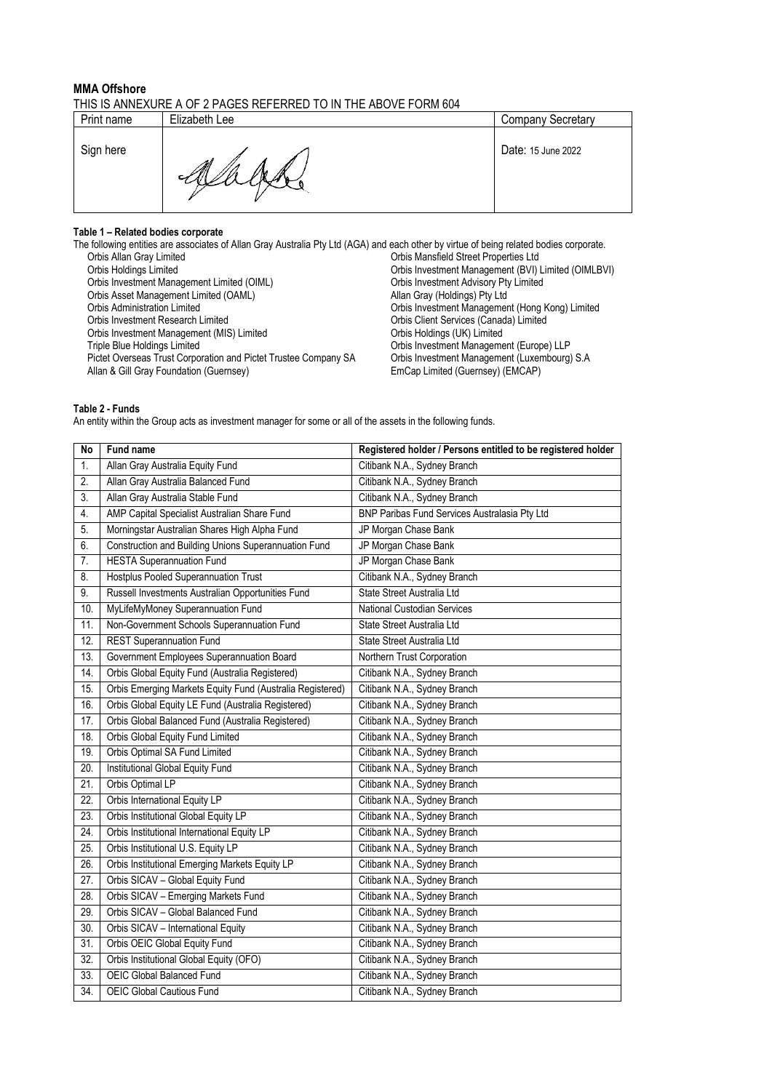### **MMA Offshore** THIS IS ANNEXURE A OF 2 PAGES REFERRED TO IN THE ABOVE FORM 604

| Print name | Elizabeth Lee | <b>Company Secretary</b> |
|------------|---------------|--------------------------|
| Sign here  | All           | Date: 15 June 2022       |

### **Table 1 – Related bodies corporate**

The following entities are associates of Allan Gray Australia Pty Ltd (AGA) and each other by virtue of being related bodies corporate. Orbis Allan Gray Limited Corbis Mansfield Street Properties Ltd<br>Orbis Holdings Limited Corbis Investment Management (BVI) Orbis Investment Management (BVI) Limited (OIMLBVI)<br>Orbis Investment Advisory Pty Limited Orbis Investment Management Limited (OIML) Orbis Investment Advisory Pty Crbis Asset Management Limited (OAML) Crbis Asset Management Limited (OAML) Orbis Asset Management Limited (OAML)<br>Orbis Administration Limited Orbis Administration Limited<br>
Orbis Administration Limited<br>
Orbis Investment Management (Hong Kong) Limited<br>
Orbis Investment Measurement Research Limited<br>
Orbis Client Services (Canada) Limited Orbis Client Services (Canada) Limited<br>Orbis Holdings (UK) Limited Orbis Investment Management (MIS) Limited<br>Triple Blue Holdings Limited Orbis Investment Management (Europe) LLP<br>Orbis Investment Management (Luxembourg) S.A Pictet Overseas Trust Corporation and Pictet Trustee Company SA Orbis Investment Management (Luxem Allan & Gill Gray Foundation (Guernsey) (S.A.C. EmCap Limited (Guernsey) (S.A.C. EmCap Limited (Guernsey) (S.A.C. EmCap Lim Allan & Gill Gray Foundation (Guernsey)

### **Table 2 - Funds**

An entity within the Group acts as investment manager for some or all of the assets in the following funds.

| <b>No</b>         | Fund name                                                 | Registered holder / Persons entitled to be registered holder |
|-------------------|-----------------------------------------------------------|--------------------------------------------------------------|
| 1.                | Allan Gray Australia Equity Fund                          | Citibank N.A., Sydney Branch                                 |
| 2.                | Allan Gray Australia Balanced Fund                        | Citibank N.A., Sydney Branch                                 |
| 3.                | Allan Gray Australia Stable Fund                          | Citibank N.A., Sydney Branch                                 |
| 4.                | AMP Capital Specialist Australian Share Fund              | BNP Paribas Fund Services Australasia Pty Ltd                |
| 5.                | Morningstar Australian Shares High Alpha Fund             | JP Morgan Chase Bank                                         |
| 6.                | Construction and Building Unions Superannuation Fund      | JP Morgan Chase Bank                                         |
| 7.                | <b>HESTA</b> Superannuation Fund                          | JP Morgan Chase Bank                                         |
| 8.                | <b>Hostplus Pooled Superannuation Trust</b>               | Citibank N.A., Sydney Branch                                 |
| 9.                | Russell Investments Australian Opportunities Fund         | State Street Australia Ltd                                   |
| 10.               | MyLifeMyMoney Superannuation Fund                         | National Custodian Services                                  |
| $11$ .            | Non-Government Schools Superannuation Fund                | State Street Australia Ltd                                   |
| 12.               | <b>REST Superannuation Fund</b>                           | State Street Australia Ltd                                   |
| 13.               | Government Employees Superannuation Board                 | Northern Trust Corporation                                   |
| 14.               | Orbis Global Equity Fund (Australia Registered)           | Citibank N.A., Sydney Branch                                 |
| 15.               | Orbis Emerging Markets Equity Fund (Australia Registered) | Citibank N.A., Sydney Branch                                 |
| 16.               | Orbis Global Equity LE Fund (Australia Registered)        | Citibank N.A., Sydney Branch                                 |
| 17.               | Orbis Global Balanced Fund (Australia Registered)         | Citibank N.A., Sydney Branch                                 |
| 18.               | Orbis Global Equity Fund Limited                          | Citibank N.A., Sydney Branch                                 |
| 19.               | Orbis Optimal SA Fund Limited                             | Citibank N.A., Sydney Branch                                 |
| 20.               | Institutional Global Equity Fund                          | Citibank N.A., Sydney Branch                                 |
| $\overline{21}$   | Orbis Optimal LP                                          | Citibank N.A., Sydney Branch                                 |
| $\overline{22}$ . | Orbis International Equity LP                             | Citibank N.A., Sydney Branch                                 |
| 23.               | Orbis Institutional Global Equity LP                      | Citibank N.A., Sydney Branch                                 |
| 24.               | Orbis Institutional International Equity LP               | Citibank N.A., Sydney Branch                                 |
| 25.               | Orbis Institutional U.S. Equity LP                        | Citibank N.A., Sydney Branch                                 |
| 26.               | Orbis Institutional Emerging Markets Equity LP            | Citibank N.A., Sydney Branch                                 |
| 27.               | Orbis SICAV - Global Equity Fund                          | Citibank N.A., Sydney Branch                                 |
| 28.               | Orbis SICAV - Emerging Markets Fund                       | Citibank N.A., Sydney Branch                                 |
| 29.               | Orbis SICAV - Global Balanced Fund                        | Citibank N.A., Sydney Branch                                 |
| 30.               | Orbis SICAV - International Equity                        | Citibank N.A., Sydney Branch                                 |
| $\overline{31}$ . | Orbis OEIC Global Equity Fund                             | Citibank N.A., Sydney Branch                                 |
| 32.               | Orbis Institutional Global Equity (OFO)                   | Citibank N.A., Sydney Branch                                 |
| 33.               | <b>OEIC Global Balanced Fund</b>                          | Citibank N.A., Sydney Branch                                 |
| 34.               | OEIC Global Cautious Fund                                 | Citibank N.A., Sydney Branch                                 |